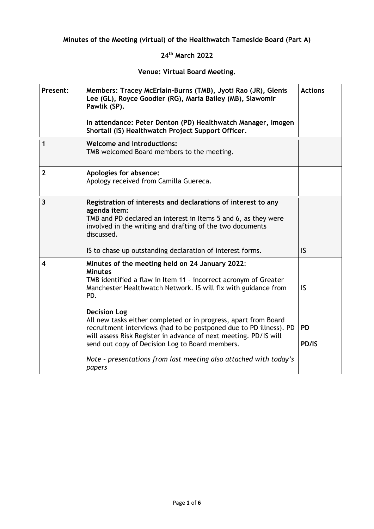## **Minutes of the Meeting (virtual) of the Healthwatch Tameside Board (Part A)**

## **24th March 2022**

## **Venue: Virtual Board Meeting.**

| Present:                | Members: Tracey McErlain-Burns (TMB), Jyoti Rao (JR), Glenis<br>Lee (GL), Royce Goodier (RG), Maria Bailey (MB), Slawomir<br>Pawlik (SP).<br>In attendance: Peter Denton (PD) Healthwatch Manager, Imogen<br>Shortall (IS) Healthwatch Project Support Officer.                                                                                                                                                                                                                                                                                                                     | <b>Actions</b>            |
|-------------------------|-------------------------------------------------------------------------------------------------------------------------------------------------------------------------------------------------------------------------------------------------------------------------------------------------------------------------------------------------------------------------------------------------------------------------------------------------------------------------------------------------------------------------------------------------------------------------------------|---------------------------|
| 1                       | <b>Welcome and Introductions:</b><br>TMB welcomed Board members to the meeting.                                                                                                                                                                                                                                                                                                                                                                                                                                                                                                     |                           |
| $\mathbf{2}$            | Apologies for absence:<br>Apology received from Camilla Guereca.                                                                                                                                                                                                                                                                                                                                                                                                                                                                                                                    |                           |
| $\overline{\mathbf{3}}$ | Registration of interests and declarations of interest to any<br>agenda item:<br>TMB and PD declared an interest in Items 5 and 6, as they were<br>involved in the writing and drafting of the two documents<br>discussed.<br>IS to chase up outstanding declaration of interest forms.                                                                                                                                                                                                                                                                                             | IS.                       |
| 4                       | Minutes of the meeting held on 24 January 2022:<br><b>Minutes</b><br>TMB identified a flaw in Item 11 - incorrect acronym of Greater<br>Manchester Healthwatch Network. IS will fix with guidance from<br>PD.<br><b>Decision Log</b><br>All new tasks either completed or in progress, apart from Board<br>recruitment interviews (had to be postponed due to PD illness). PD<br>will assess Risk Register in advance of next meeting. PD/IS will<br>send out copy of Decision Log to Board members.<br>Note - presentations from last meeting also attached with today's<br>papers | IS.<br><b>PD</b><br>PD/IS |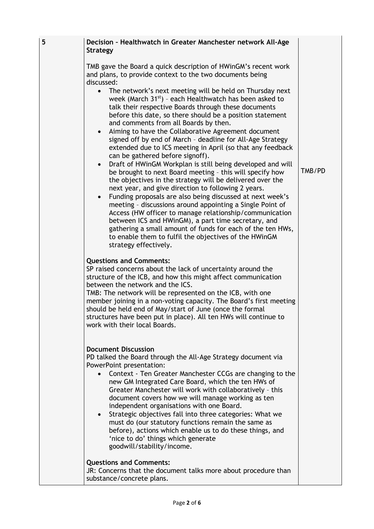| 5 | Decision - Healthwatch in Greater Manchester network All-Age<br><b>Strategy</b>                                                                                                                                                                                                                                                                                                                                                                                                                                                                                                                                                                                                                                                                                                                                                                                                                                                                                                                                                                                                                                                                                                                                                                                                                                               |        |
|---|-------------------------------------------------------------------------------------------------------------------------------------------------------------------------------------------------------------------------------------------------------------------------------------------------------------------------------------------------------------------------------------------------------------------------------------------------------------------------------------------------------------------------------------------------------------------------------------------------------------------------------------------------------------------------------------------------------------------------------------------------------------------------------------------------------------------------------------------------------------------------------------------------------------------------------------------------------------------------------------------------------------------------------------------------------------------------------------------------------------------------------------------------------------------------------------------------------------------------------------------------------------------------------------------------------------------------------|--------|
|   | TMB gave the Board a quick description of HWinGM's recent work<br>and plans, to provide context to the two documents being<br>discussed:<br>The network's next meeting will be held on Thursday next<br>week (March $31^{st}$ ) - each Healthwatch has been asked to<br>talk their respective Boards through these documents<br>before this date, so there should be a position statement<br>and comments from all Boards by then.<br>Aiming to have the Collaborative Agreement document<br>$\bullet$<br>signed off by end of March - deadline for All-Age Strategy<br>extended due to ICS meeting in April (so that any feedback<br>can be gathered before signoff).<br>Draft of HWinGM Workplan is still being developed and will<br>$\bullet$<br>be brought to next Board meeting - this will specify how<br>the objectives in the strategy will be delivered over the<br>next year, and give direction to following 2 years.<br>Funding proposals are also being discussed at next week's<br>meeting - discussions around appointing a Single Point of<br>Access (HW officer to manage relationship/communication<br>between ICS and HWinGM), a part time secretary, and<br>gathering a small amount of funds for each of the ten HWs,<br>to enable them to fulfil the objectives of the HWinGM<br>strategy effectively. | TMB/PD |
|   | <b>Questions and Comments:</b><br>SP raised concerns about the lack of uncertainty around the<br>structure of the ICB, and how this might affect communication<br>between the network and the ICS.<br>TMB: The network will be represented on the ICB, with one<br>member joining in a non-voting capacity. The Board's first meeting<br>should be held end of May/start of June (once the formal<br>structures have been put in place). All ten HWs will continue to<br>work with their local Boards.                                                                                                                                                                                                                                                                                                                                                                                                                                                                                                                                                                                                                                                                                                                                                                                                                        |        |
|   | <b>Document Discussion</b><br>PD talked the Board through the All-Age Strategy document via<br>PowerPoint presentation:<br>Context - Ten Greater Manchester CCGs are changing to the<br>new GM Integrated Care Board, which the ten HWs of<br>Greater Manchester will work with collaboratively - this<br>document covers how we will manage working as ten<br>independent organisations with one Board.<br>Strategic objectives fall into three categories: What we<br>must do (our statutory functions remain the same as<br>before), actions which enable us to do these things, and<br>'nice to do' things which generate<br>goodwill/stability/income.                                                                                                                                                                                                                                                                                                                                                                                                                                                                                                                                                                                                                                                                   |        |
|   | <b>Questions and Comments:</b><br>JR: Concerns that the document talks more about procedure than<br>substance/concrete plans.                                                                                                                                                                                                                                                                                                                                                                                                                                                                                                                                                                                                                                                                                                                                                                                                                                                                                                                                                                                                                                                                                                                                                                                                 |        |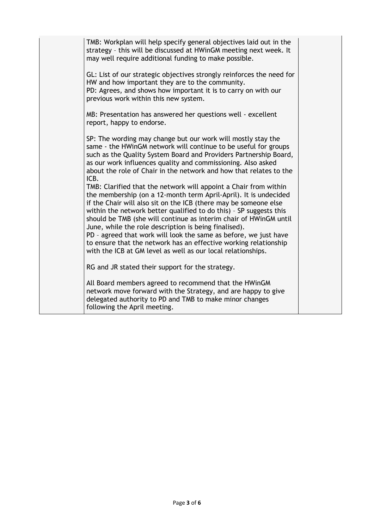| TMB: Workplan will help specify general objectives laid out in the<br>strategy - this will be discussed at HWinGM meeting next week. It<br>may well require additional funding to make possible.                                                                                                                                                                                                                                                                                                                                                 |  |
|--------------------------------------------------------------------------------------------------------------------------------------------------------------------------------------------------------------------------------------------------------------------------------------------------------------------------------------------------------------------------------------------------------------------------------------------------------------------------------------------------------------------------------------------------|--|
| GL: List of our strategic objectives strongly reinforces the need for<br>HW and how important they are to the community.<br>PD: Agrees, and shows how important it is to carry on with our<br>previous work within this new system.                                                                                                                                                                                                                                                                                                              |  |
| MB: Presentation has answered her questions well - excellent<br>report, happy to endorse.                                                                                                                                                                                                                                                                                                                                                                                                                                                        |  |
| SP: The wording may change but our work will mostly stay the<br>same - the HWinGM network will continue to be useful for groups<br>such as the Quality System Board and Providers Partnership Board,<br>as our work influences quality and commissioning. Also asked<br>about the role of Chair in the network and how that relates to the<br>ICB.<br>TMB: Clarified that the network will appoint a Chair from within                                                                                                                           |  |
| the membership (on a 12-month term April-April). It is undecided<br>if the Chair will also sit on the ICB (there may be someone else<br>within the network better qualified to do this) - SP suggests this<br>should be TMB (she will continue as interim chair of HWinGM until<br>June, while the role description is being finalised).<br>PD - agreed that work will look the same as before, we just have<br>to ensure that the network has an effective working relationship<br>with the ICB at GM level as well as our local relationships. |  |
| RG and JR stated their support for the strategy.                                                                                                                                                                                                                                                                                                                                                                                                                                                                                                 |  |
| All Board members agreed to recommend that the HWinGM<br>network move forward with the Strategy, and are happy to give<br>delegated authority to PD and TMB to make minor changes<br>following the April meeting.                                                                                                                                                                                                                                                                                                                                |  |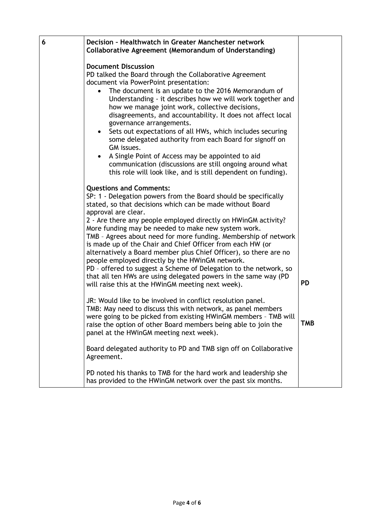| 6 | Decision - Healthwatch in Greater Manchester network<br>Collaborative Agreement (Memorandum of Understanding)                                                                                                                                                                                                                                                                                                                                                                                                                                                                                                                                                                                                                                                        |            |
|---|----------------------------------------------------------------------------------------------------------------------------------------------------------------------------------------------------------------------------------------------------------------------------------------------------------------------------------------------------------------------------------------------------------------------------------------------------------------------------------------------------------------------------------------------------------------------------------------------------------------------------------------------------------------------------------------------------------------------------------------------------------------------|------------|
|   | <b>Document Discussion</b><br>PD talked the Board through the Collaborative Agreement<br>document via PowerPoint presentation:<br>The document is an update to the 2016 Memorandum of<br>Understanding - it describes how we will work together and<br>how we manage joint work, collective decisions,<br>disagreements, and accountability. It does not affect local<br>governance arrangements.<br>Sets out expectations of all HWs, which includes securing<br>some delegated authority from each Board for signoff on<br>GM issues.<br>A Single Point of Access may be appointed to aid<br>communication (discussions are still ongoing around what<br>this role will look like, and is still dependent on funding).                                             |            |
|   | <b>Questions and Comments:</b><br>SP: 1 - Delegation powers from the Board should be specifically<br>stated, so that decisions which can be made without Board<br>approval are clear.<br>2 - Are there any people employed directly on HWinGM activity?<br>More funding may be needed to make new system work.<br>TMB - Agrees about need for more funding. Membership of network<br>is made up of the Chair and Chief Officer from each HW (or<br>alternatively a Board member plus Chief Officer), so there are no<br>people employed directly by the HWinGM network.<br>PD - offered to suggest a Scheme of Delegation to the network, so<br>that all ten HWs are using delegated powers in the same way (PD<br>will raise this at the HWinGM meeting next week). | <b>PD</b>  |
|   | JR: Would like to be involved in conflict resolution panel.<br>TMB: May need to discuss this with network, as panel members<br>were going to be picked from existing HWinGM members - TMB will<br>raise the option of other Board members being able to join the<br>panel at the HWinGM meeting next week).                                                                                                                                                                                                                                                                                                                                                                                                                                                          | <b>TMB</b> |
|   | Board delegated authority to PD and TMB sign off on Collaborative<br>Agreement.                                                                                                                                                                                                                                                                                                                                                                                                                                                                                                                                                                                                                                                                                      |            |
|   | PD noted his thanks to TMB for the hard work and leadership she<br>has provided to the HWinGM network over the past six months.                                                                                                                                                                                                                                                                                                                                                                                                                                                                                                                                                                                                                                      |            |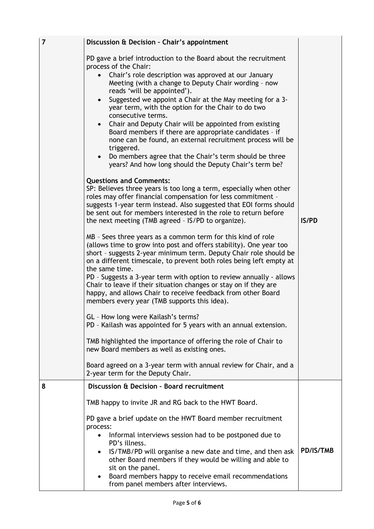| $\overline{7}$ | Discussion & Decision - Chair's appointment                                                                                                                                                                                                                                                                                                                                                                                                                                                                                                                                                                                                                                                                                                                                                                                                                                                                                                                                                                                                                                                                                                                                                                                                                                                                                                                                                                                                                                                                                                                                                                                                                                                                                                                                                                                                                            |              |
|----------------|------------------------------------------------------------------------------------------------------------------------------------------------------------------------------------------------------------------------------------------------------------------------------------------------------------------------------------------------------------------------------------------------------------------------------------------------------------------------------------------------------------------------------------------------------------------------------------------------------------------------------------------------------------------------------------------------------------------------------------------------------------------------------------------------------------------------------------------------------------------------------------------------------------------------------------------------------------------------------------------------------------------------------------------------------------------------------------------------------------------------------------------------------------------------------------------------------------------------------------------------------------------------------------------------------------------------------------------------------------------------------------------------------------------------------------------------------------------------------------------------------------------------------------------------------------------------------------------------------------------------------------------------------------------------------------------------------------------------------------------------------------------------------------------------------------------------------------------------------------------------|--------------|
|                | PD gave a brief introduction to the Board about the recruitment<br>process of the Chair:<br>Chair's role description was approved at our January<br>Meeting (with a change to Deputy Chair wording - now<br>reads 'will be appointed').<br>Suggested we appoint a Chair at the May meeting for a 3-<br>year term, with the option for the Chair to do two<br>consecutive terms.<br>Chair and Deputy Chair will be appointed from existing<br>Board members if there are appropriate candidates - if<br>none can be found, an external recruitment process will be<br>triggered.<br>Do members agree that the Chair's term should be three<br>years? And how long should the Deputy Chair's term be?<br><b>Questions and Comments:</b><br>SP: Believes three years is too long a term, especially when other<br>roles may offer financial compensation for less commitment -<br>suggests 1-year term instead. Also suggested that EOI forms should<br>be sent out for members interested in the role to return before<br>the next meeting (TMB agreed - IS/PD to organize).<br>MB - Sees three years as a common term for this kind of role<br>(allows time to grow into post and offers stability). One year too<br>short - suggests 2-year minimum term. Deputy Chair role should be<br>on a different timescale, to prevent both roles being left empty at<br>the same time.<br>PD - Suggests a 3-year term with option to review annually - allows<br>Chair to leave if their situation changes or stay on if they are<br>happy, and allows Chair to receive feedback from other Board<br>members every year (TMB supports this idea).<br>GL - How long were Kailash's terms?<br>PD - Kailash was appointed for 5 years with an annual extension.<br>TMB highlighted the importance of offering the role of Chair to<br>new Board members as well as existing ones. | <b>IS/PD</b> |
|                | Board agreed on a 3-year term with annual review for Chair, and a<br>2-year term for the Deputy Chair.                                                                                                                                                                                                                                                                                                                                                                                                                                                                                                                                                                                                                                                                                                                                                                                                                                                                                                                                                                                                                                                                                                                                                                                                                                                                                                                                                                                                                                                                                                                                                                                                                                                                                                                                                                 |              |
| 8              | <b>Discussion &amp; Decision - Board recruitment</b>                                                                                                                                                                                                                                                                                                                                                                                                                                                                                                                                                                                                                                                                                                                                                                                                                                                                                                                                                                                                                                                                                                                                                                                                                                                                                                                                                                                                                                                                                                                                                                                                                                                                                                                                                                                                                   |              |
|                | TMB happy to invite JR and RG back to the HWT Board.                                                                                                                                                                                                                                                                                                                                                                                                                                                                                                                                                                                                                                                                                                                                                                                                                                                                                                                                                                                                                                                                                                                                                                                                                                                                                                                                                                                                                                                                                                                                                                                                                                                                                                                                                                                                                   |              |
|                | PD gave a brief update on the HWT Board member recruitment<br>process:<br>Informal interviews session had to be postponed due to<br>PD's illness.<br>IS/TMB/PD will organise a new date and time, and then ask<br>$\bullet$<br>other Board members if they would be willing and able to<br>sit on the panel.<br>Board members happy to receive email recommendations<br>$\bullet$                                                                                                                                                                                                                                                                                                                                                                                                                                                                                                                                                                                                                                                                                                                                                                                                                                                                                                                                                                                                                                                                                                                                                                                                                                                                                                                                                                                                                                                                                      | PD/IS/TMB    |
|                | from panel members after interviews.                                                                                                                                                                                                                                                                                                                                                                                                                                                                                                                                                                                                                                                                                                                                                                                                                                                                                                                                                                                                                                                                                                                                                                                                                                                                                                                                                                                                                                                                                                                                                                                                                                                                                                                                                                                                                                   |              |